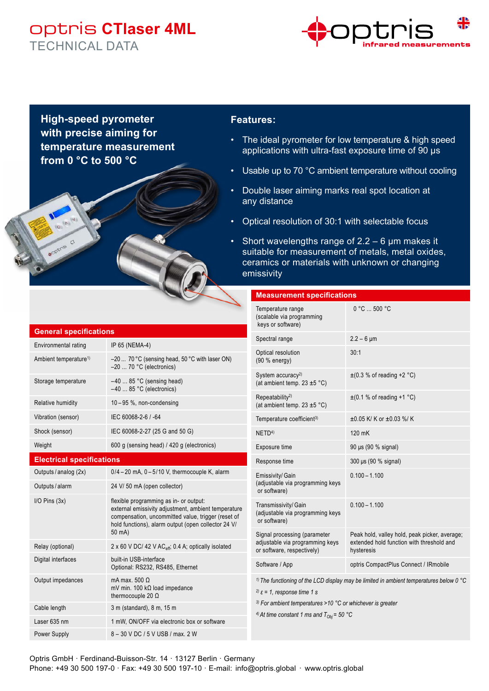## optris **CTlaser 4ML** TECHNICAL DATA



**High-speed pyrometer with precise aiming for temperature measurement from 0 °C to 500 °C** 

### **Features:**

- The ideal pyrometer for low temperature & high speed applications with ultra-fast exposure time of 90 µs
- Usable up to 70 °C ambient temperature without cooling
- Double laser aiming marks real spot location at any distance
- Optical resolution of 30:1 with selectable focus
- Short wavelengths range of  $2.2 6$  µm makes it suitable for measurement of metals, metal oxides, ceramics or materials with unknown or changing emissivity

#### **Measurement specifications**

|                                   |                                                                                                                                                                                                            | Temperature range<br>(scalable via programming<br>keys or software)                                                                                                                                                                                                                                                | 0 °C  500 °C                                                                                             |
|-----------------------------------|------------------------------------------------------------------------------------------------------------------------------------------------------------------------------------------------------------|--------------------------------------------------------------------------------------------------------------------------------------------------------------------------------------------------------------------------------------------------------------------------------------------------------------------|----------------------------------------------------------------------------------------------------------|
| <b>General specifications</b>     |                                                                                                                                                                                                            | Spectral range                                                                                                                                                                                                                                                                                                     | $2.2 - 6 \,\text{µm}$                                                                                    |
| Environmental rating              | IP 65 (NEMA-4)                                                                                                                                                                                             | Optical resolution                                                                                                                                                                                                                                                                                                 | 30:1                                                                                                     |
| Ambient temperature <sup>1)</sup> | $-20$ 70 °C (sensing head, 50 °C with laser ON)<br>$-20$ 70 °C (electronics)                                                                                                                               | (90 % energy)                                                                                                                                                                                                                                                                                                      |                                                                                                          |
| Storage temperature               | $-40$ 85 °C (sensing head)<br>$-40$ 85 °C (electronics)                                                                                                                                                    | System accuracy <sup>2)</sup><br>(at ambient temp. $23 \pm 5$ °C)                                                                                                                                                                                                                                                  | $\pm$ (0.3 % of reading +2 °C)                                                                           |
| <b>Relative humidity</b>          | 10-95 %, non-condensing                                                                                                                                                                                    | Repeatability <sup>2)</sup><br>(at ambient temp. $23 \pm 5$ °C)                                                                                                                                                                                                                                                    | $\pm$ (0.1 % of reading +1 °C)                                                                           |
| Vibration (sensor)                | IEC 60068-2-6 / -64                                                                                                                                                                                        | Temperature coefficient <sup>3)</sup>                                                                                                                                                                                                                                                                              | $\pm 0.05$ K/K or $\pm 0.03$ %/K                                                                         |
| Shock (sensor)                    | IEC 60068-2-27 (25 G and 50 G)                                                                                                                                                                             | NETD <sup>4)</sup>                                                                                                                                                                                                                                                                                                 | 120 mK                                                                                                   |
| Weight                            | 600 g (sensing head) / 420 g (electronics)                                                                                                                                                                 | Exposure time                                                                                                                                                                                                                                                                                                      | 90 µs (90 % signal)                                                                                      |
| <b>Electrical specifications</b>  |                                                                                                                                                                                                            | Response time                                                                                                                                                                                                                                                                                                      | 300 µs (90 % signal)                                                                                     |
| Outputs / analog (2x)             | $0/4 - 20$ mA, $0 - 5/10$ V, thermocouple K, alarm                                                                                                                                                         | Emissivity/Gain<br>(adjustable via programming keys<br>or software)                                                                                                                                                                                                                                                | $0.100 - 1.100$                                                                                          |
| Outputs / alarm                   | 24 V/ 50 mA (open collector)                                                                                                                                                                               |                                                                                                                                                                                                                                                                                                                    |                                                                                                          |
| $I/O$ Pins $(3x)$                 | flexible programming as in- or output:<br>external emissivity adjustment, ambient temperature<br>compensation, uncommitted value, trigger (reset of<br>hold functions), alarm output (open collector 24 V/ | Transmissivity/Gain<br>(adjustable via programming keys<br>or software)                                                                                                                                                                                                                                            | $0.100 - 1.100$                                                                                          |
|                                   | 50 mA)                                                                                                                                                                                                     | Signal processing (parameter<br>adjustable via programming keys                                                                                                                                                                                                                                                    | Peak hold, valley hold, peak picker, average;<br>extended hold function with threshold and<br>hysteresis |
| Relay (optional)                  | 2 x 60 V DC/ 42 V AC <sub>eff</sub> , 0.4 A, optically isolated                                                                                                                                            | or software, respectively)                                                                                                                                                                                                                                                                                         |                                                                                                          |
| Digital interfaces                | built-in USB-interface<br>Optional: RS232, RS485, Ethernet                                                                                                                                                 | Software / App                                                                                                                                                                                                                                                                                                     | optris CompactPlus Connect / IRmobile                                                                    |
| Output impedances                 | mA max. 500 $\Omega$<br>mV min. 100 $k\Omega$ load impedance<br>thermocouple 20 $\Omega$                                                                                                                   | <sup>1)</sup> The functioning of the LCD display may be limited in ambient temperatures below 0 $^{\circ}$ C<br><sup>2)</sup> $\varepsilon$ = 1, response time 1 s<br><sup>3)</sup> For ambient temperatures >10 $^{\circ}$ C or whichever is greater<br><sup>4)</sup> At time constant 1 ms and $T_{Obj}$ = 50 °C |                                                                                                          |
| Cable length                      | 3 m (standard), 8 m, 15 m                                                                                                                                                                                  |                                                                                                                                                                                                                                                                                                                    |                                                                                                          |
| Laser 635 nm                      | 1 mW, ON/OFF via electronic box or software                                                                                                                                                                |                                                                                                                                                                                                                                                                                                                    |                                                                                                          |
| <b>Power Supply</b>               | 8 - 30 V DC / 5 V USB / max. 2 W                                                                                                                                                                           |                                                                                                                                                                                                                                                                                                                    |                                                                                                          |